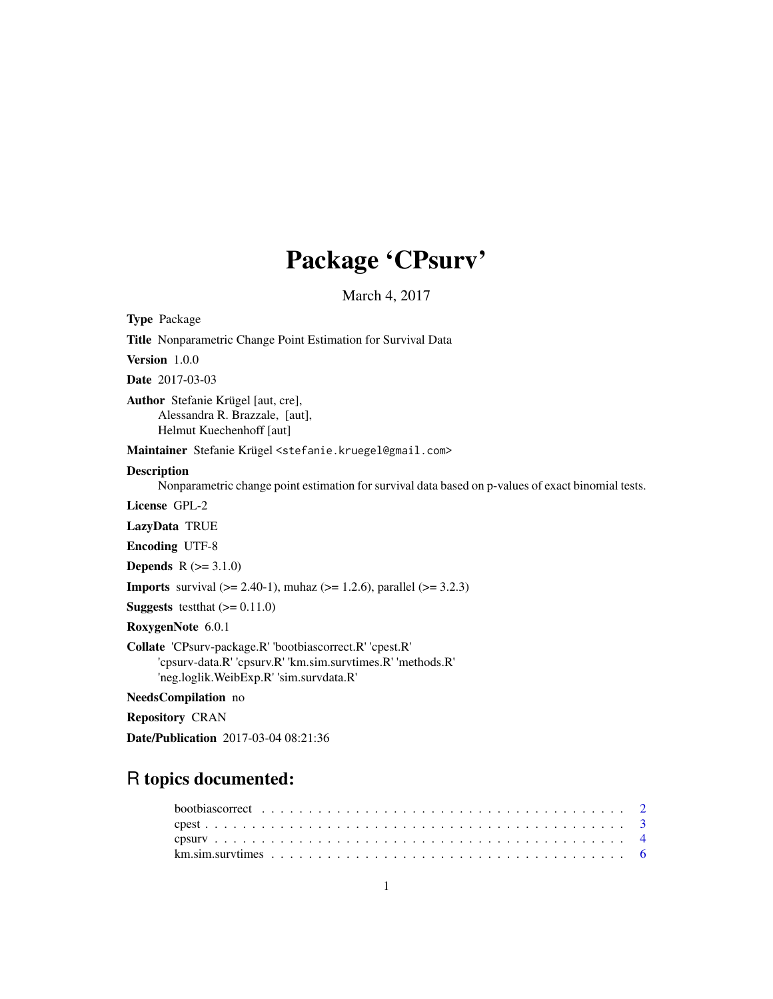# Package 'CPsurv'

March 4, 2017

Title Nonparametric Change Point Estimation for Survival Data Version 1.0.0 Date 2017-03-03 Author Stefanie Krügel [aut, cre], Alessandra R. Brazzale, [aut], Helmut Kuechenhoff [aut] Maintainer Stefanie Krügel <stefanie.kruegel@gmail.com> Description Nonparametric change point estimation for survival data based on p-values of exact binomial tests. License GPL-2 LazyData TRUE Encoding UTF-8 **Depends**  $R (= 3.1.0)$ 

**Imports** survival  $(>= 2.40-1)$ , muhaz  $(>= 1.2.6)$ , parallel  $(>= 3.2.3)$ 

**Suggests** test that  $(>= 0.11.0)$ 

RoxygenNote 6.0.1

<span id="page-0-0"></span>Type Package

Collate 'CPsurv-package.R' 'bootbiascorrect.R' 'cpest.R' 'cpsurv-data.R' 'cpsurv.R' 'km.sim.survtimes.R' 'methods.R' 'neg.loglik.WeibExp.R' 'sim.survdata.R'

NeedsCompilation no

Repository CRAN

Date/Publication 2017-03-04 08:21:36

## R topics documented: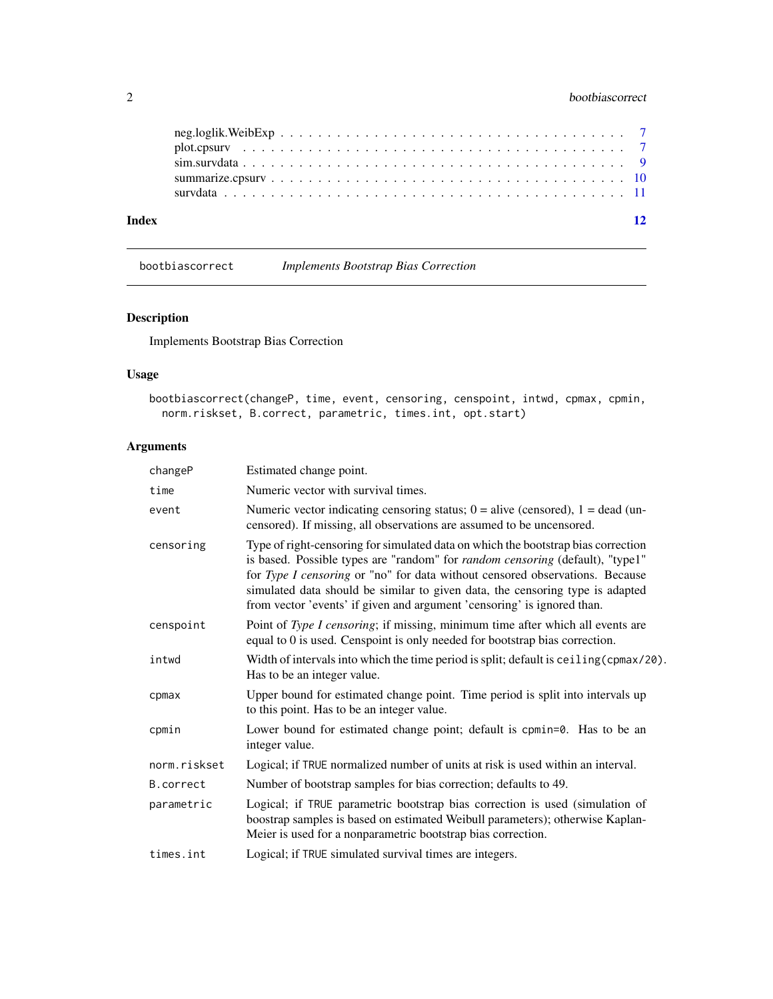#### <span id="page-1-0"></span>2 bootbiascorrect 2

| Index |  |  |  |  |  |  |  |  |  |  |  |  |  |  |  | 12 |
|-------|--|--|--|--|--|--|--|--|--|--|--|--|--|--|--|----|
|       |  |  |  |  |  |  |  |  |  |  |  |  |  |  |  |    |
|       |  |  |  |  |  |  |  |  |  |  |  |  |  |  |  |    |
|       |  |  |  |  |  |  |  |  |  |  |  |  |  |  |  |    |
|       |  |  |  |  |  |  |  |  |  |  |  |  |  |  |  |    |
|       |  |  |  |  |  |  |  |  |  |  |  |  |  |  |  |    |

bootbiascorrect *Implements Bootstrap Bias Correction*

#### Description

Implements Bootstrap Bias Correction

### Usage

```
bootbiascorrect(changeP, time, event, censoring, censpoint, intwd, cpmax, cpmin,
 norm.riskset, B.correct, parametric, times.int, opt.start)
```
### Arguments

| changeP      | Estimated change point.                                                                                                                                                                                                                                                                                                                                                                                               |
|--------------|-----------------------------------------------------------------------------------------------------------------------------------------------------------------------------------------------------------------------------------------------------------------------------------------------------------------------------------------------------------------------------------------------------------------------|
| time         | Numeric vector with survival times.                                                                                                                                                                                                                                                                                                                                                                                   |
| event        | Numeric vector indicating censoring status; $0 =$ alive (censored), $1 =$ dead (un-<br>censored). If missing, all observations are assumed to be uncensored.                                                                                                                                                                                                                                                          |
| censoring    | Type of right-censoring for simulated data on which the bootstrap bias correction<br>is based. Possible types are "random" for <i>random censoring</i> (default), "type1"<br>for Type I censoring or "no" for data without censored observations. Because<br>simulated data should be similar to given data, the censoring type is adapted<br>from vector 'events' if given and argument 'censoring' is ignored than. |
| censpoint    | Point of Type I censoring; if missing, minimum time after which all events are<br>equal to 0 is used. Censpoint is only needed for bootstrap bias correction.                                                                                                                                                                                                                                                         |
| intwd        | Width of intervals into which the time period is split; default is ceiling (cpmax/20).<br>Has to be an integer value.                                                                                                                                                                                                                                                                                                 |
| cpmax        | Upper bound for estimated change point. Time period is split into intervals up<br>to this point. Has to be an integer value.                                                                                                                                                                                                                                                                                          |
| cpmin        | Lower bound for estimated change point; default is cpmin=0. Has to be an<br>integer value.                                                                                                                                                                                                                                                                                                                            |
| norm.riskset | Logical; if TRUE normalized number of units at risk is used within an interval.                                                                                                                                                                                                                                                                                                                                       |
| B.correct    | Number of bootstrap samples for bias correction; defaults to 49.                                                                                                                                                                                                                                                                                                                                                      |
| parametric   | Logical; if TRUE parametric bootstrap bias correction is used (simulation of<br>boostrap samples is based on estimated Weibull parameters); otherwise Kaplan-<br>Meier is used for a nonparametric bootstrap bias correction.                                                                                                                                                                                         |
| times.int    | Logical; if TRUE simulated survival times are integers.                                                                                                                                                                                                                                                                                                                                                               |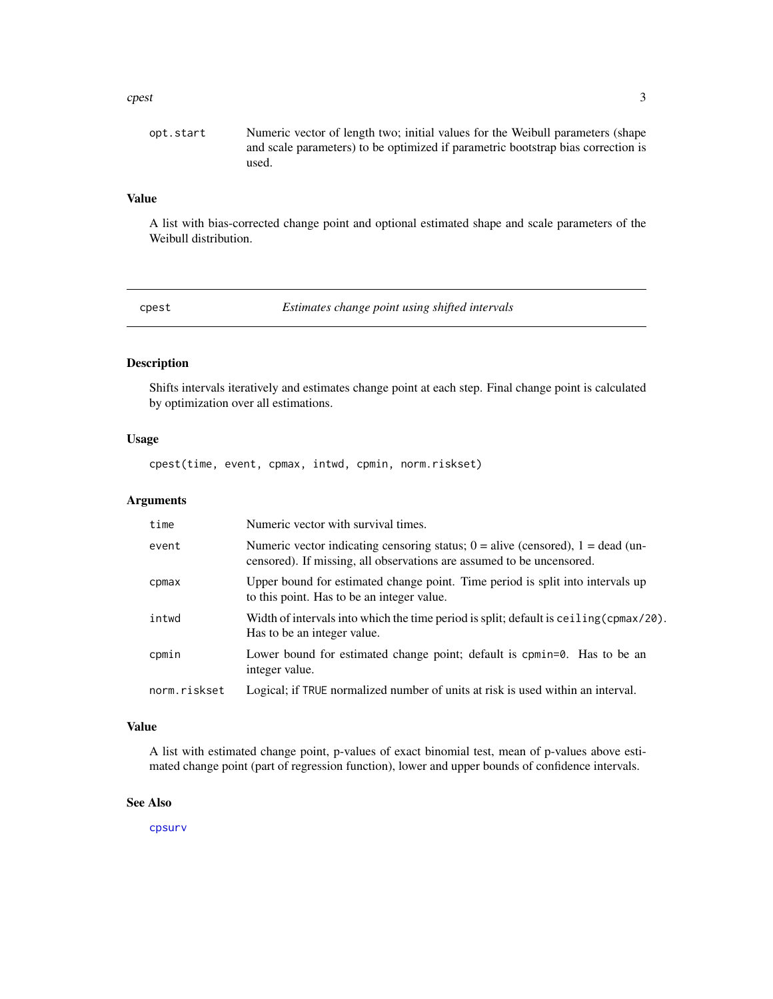#### <span id="page-2-0"></span>cpest 3

#### Value

A list with bias-corrected change point and optional estimated shape and scale parameters of the Weibull distribution.

cpest *Estimates change point using shifted intervals*

#### Description

Shifts intervals iteratively and estimates change point at each step. Final change point is calculated by optimization over all estimations.

#### Usage

cpest(time, event, cpmax, intwd, cpmin, norm.riskset)

#### Arguments

| time         | Numeric vector with survival times.                                                                                                                          |
|--------------|--------------------------------------------------------------------------------------------------------------------------------------------------------------|
| event        | Numeric vector indicating censoring status; $0 =$ alive (censored), $1 =$ dead (un-<br>censored). If missing, all observations are assumed to be uncensored. |
| cpmax        | Upper bound for estimated change point. Time period is split into intervals up<br>to this point. Has to be an integer value.                                 |
| intwd        | Width of intervals into which the time period is split; default is ceiling (cpmax/20).<br>Has to be an integer value.                                        |
| cpmin        | Lower bound for estimated change point; default is cpmin=0. Has to be an<br>integer value.                                                                   |
| norm.riskset | Logical; if TRUE normalized number of units at risk is used within an interval.                                                                              |

#### Value

A list with estimated change point, p-values of exact binomial test, mean of p-values above estimated change point (part of regression function), lower and upper bounds of confidence intervals.

#### See Also

[cpsurv](#page-3-1)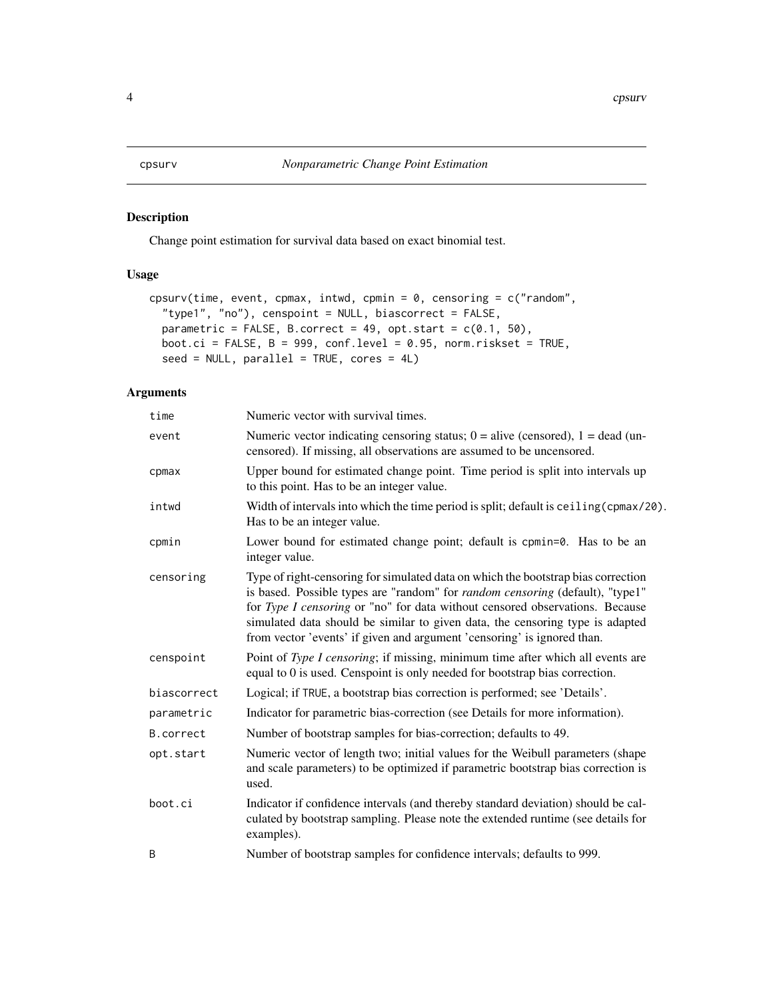#### <span id="page-3-1"></span><span id="page-3-0"></span>Description

Change point estimation for survival data based on exact binomial test.

#### Usage

```
cpsurv(time, event, cpmax, intwd, cpmin = 0, censoring = c("random","type1", "no"), censpoint = NULL, biascorrect = FALSE,
 parametric = FALSE, B.correct = 49, opt.start = c(0.1, 50),
 boot.ci = FALSE, B = 999, conf.level = 0.95, norm.riskset = TRUE,
  seed = NULL, parallel = TRUE, cores = 4L)
```
#### Arguments

| time        | Numeric vector with survival times.                                                                                                                                                                                                                                                                                                                                                                                   |
|-------------|-----------------------------------------------------------------------------------------------------------------------------------------------------------------------------------------------------------------------------------------------------------------------------------------------------------------------------------------------------------------------------------------------------------------------|
| event       | Numeric vector indicating censoring status; $0 =$ alive (censored), $1 =$ dead (un-<br>censored). If missing, all observations are assumed to be uncensored.                                                                                                                                                                                                                                                          |
| cpmax       | Upper bound for estimated change point. Time period is split into intervals up<br>to this point. Has to be an integer value.                                                                                                                                                                                                                                                                                          |
| intwd       | Width of intervals into which the time period is split; default is ceiling (cpmax/20).<br>Has to be an integer value.                                                                                                                                                                                                                                                                                                 |
| cpmin       | Lower bound for estimated change point; default is cpmin=0. Has to be an<br>integer value.                                                                                                                                                                                                                                                                                                                            |
| censoring   | Type of right-censoring for simulated data on which the bootstrap bias correction<br>is based. Possible types are "random" for <i>random censoring</i> (default), "type1"<br>for Type I censoring or "no" for data without censored observations. Because<br>simulated data should be similar to given data, the censoring type is adapted<br>from vector 'events' if given and argument 'censoring' is ignored than. |
| censpoint   | Point of Type I censoring; if missing, minimum time after which all events are<br>equal to 0 is used. Censpoint is only needed for bootstrap bias correction.                                                                                                                                                                                                                                                         |
| biascorrect | Logical; if TRUE, a bootstrap bias correction is performed; see 'Details'.                                                                                                                                                                                                                                                                                                                                            |
| parametric  | Indicator for parametric bias-correction (see Details for more information).                                                                                                                                                                                                                                                                                                                                          |
| B.correct   | Number of bootstrap samples for bias-correction; defaults to 49.                                                                                                                                                                                                                                                                                                                                                      |
| opt.start   | Numeric vector of length two; initial values for the Weibull parameters (shape<br>and scale parameters) to be optimized if parametric bootstrap bias correction is<br>used.                                                                                                                                                                                                                                           |
| boot.ci     | Indicator if confidence intervals (and thereby standard deviation) should be cal-<br>culated by bootstrap sampling. Please note the extended runtime (see details for<br>examples).                                                                                                                                                                                                                                   |
| B           | Number of bootstrap samples for confidence intervals; defaults to 999.                                                                                                                                                                                                                                                                                                                                                |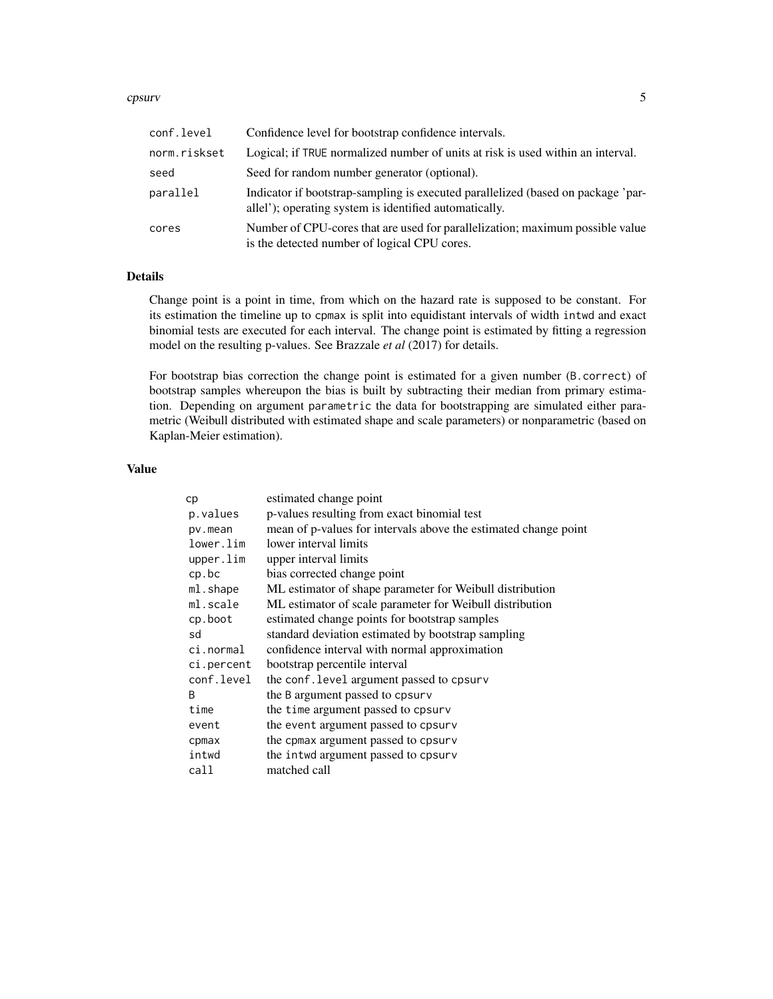#### cpsurv 5

| conf.level   | Confidence level for bootstrap confidence intervals.                                                                                       |
|--------------|--------------------------------------------------------------------------------------------------------------------------------------------|
| norm.riskset | Logical; if TRUE normalized number of units at risk is used within an interval.                                                            |
| seed         | Seed for random number generator (optional).                                                                                               |
| parallel     | Indicator if bootstrap-sampling is executed parallelized (based on package 'par-<br>allel'); operating system is identified automatically. |
| cores        | Number of CPU-cores that are used for parallelization; maximum possible value<br>is the detected number of logical CPU cores.              |

#### Details

Change point is a point in time, from which on the hazard rate is supposed to be constant. For its estimation the timeline up to cpmax is split into equidistant intervals of width intwd and exact binomial tests are executed for each interval. The change point is estimated by fitting a regression model on the resulting p-values. See Brazzale *et al* (2017) for details.

For bootstrap bias correction the change point is estimated for a given number (B.correct) of bootstrap samples whereupon the bias is built by subtracting their median from primary estimation. Depending on argument parametric the data for bootstrapping are simulated either parametric (Weibull distributed with estimated shape and scale parameters) or nonparametric (based on Kaplan-Meier estimation).

#### Value

| cp         | estimated change point                                          |
|------------|-----------------------------------------------------------------|
| p.values   | p-values resulting from exact binomial test                     |
| pv.mean    | mean of p-values for intervals above the estimated change point |
| lower.lim  | lower interval limits                                           |
| upper.lim  | upper interval limits                                           |
| cp.bc      | bias corrected change point                                     |
| ml.shape   | ML estimator of shape parameter for Weibull distribution        |
| ml.scale   | ML estimator of scale parameter for Weibull distribution        |
| cp.boot    | estimated change points for bootstrap samples                   |
| sd         | standard deviation estimated by bootstrap sampling              |
| ci.normal  | confidence interval with normal approximation                   |
| ci.percent | bootstrap percentile interval                                   |
| conf.level | the conf. level argument passed to cpsurv                       |
| B          | the B argument passed to cpsurv                                 |
| time       | the time argument passed to cpsurv                              |
| event      | the event argument passed to cpsurv                             |
| cpmax      | the cpmax argument passed to cpsurv                             |
| intwd      | the intwd argument passed to cpsurv                             |
| call       | matched call                                                    |
|            |                                                                 |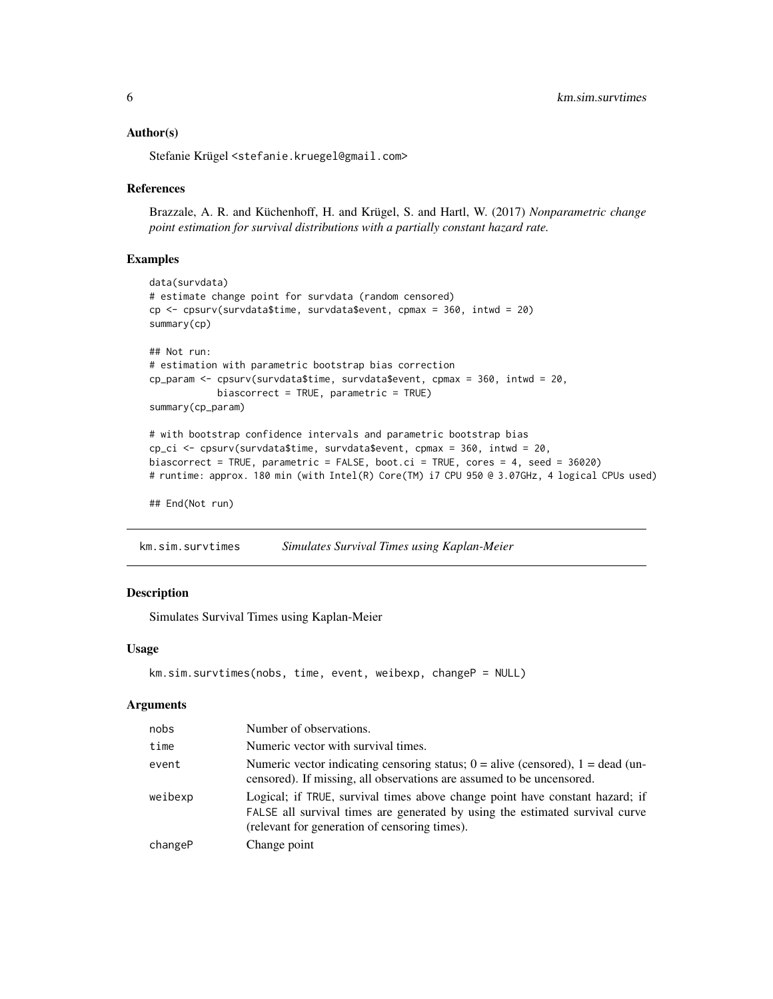#### <span id="page-5-0"></span>Author(s)

Stefanie Krügel <stefanie.kruegel@gmail.com>

#### References

Brazzale, A. R. and Küchenhoff, H. and Krügel, S. and Hartl, W. (2017) *Nonparametric change point estimation for survival distributions with a partially constant hazard rate.*

#### Examples

```
data(survdata)
# estimate change point for survdata (random censored)
cp <- cpsurv(survdata$time, survdata$event, cpmax = 360, intwd = 20)
summary(cp)
## Not run:
# estimation with parametric bootstrap bias correction
cp_param <- cpsurv(survdata$time, survdata$event, cpmax = 360, intwd = 20,
            biascorrect = TRUE, parametric = TRUE)
summary(cp_param)
# with bootstrap confidence intervals and parametric bootstrap bias
cp_ci <- cpsurv(survdata$time, survdata$event, cpmax = 360, intwd = 20,
biascorrect = TRUE, parametric = FALSE, boot.ci = TRUE, cores = 4, seed = 36020)
# runtime: approx. 180 min (with Intel(R) Core(TM) i7 CPU 950 @ 3.07GHz, 4 logical CPUs used)
```

```
## End(Not run)
```
km.sim.survtimes *Simulates Survival Times using Kaplan-Meier*

#### Description

Simulates Survival Times using Kaplan-Meier

#### Usage

```
km.sim.survtimes(nobs, time, event, weibexp, changeP = NULL)
```
#### Arguments

| nobs    | Number of observations.                                                                                                                                                                                       |
|---------|---------------------------------------------------------------------------------------------------------------------------------------------------------------------------------------------------------------|
| time    | Numeric vector with survival times.                                                                                                                                                                           |
| event   | Numeric vector indicating censoring status; $0 =$ alive (censored), $1 =$ dead (un-<br>censored). If missing, all observations are assumed to be uncensored.                                                  |
| weibexp | Logical; if TRUE, survival times above change point have constant hazard; if<br>FALSE all survival times are generated by using the estimated survival curve<br>(relevant for generation of censoring times). |
| changeP | Change point                                                                                                                                                                                                  |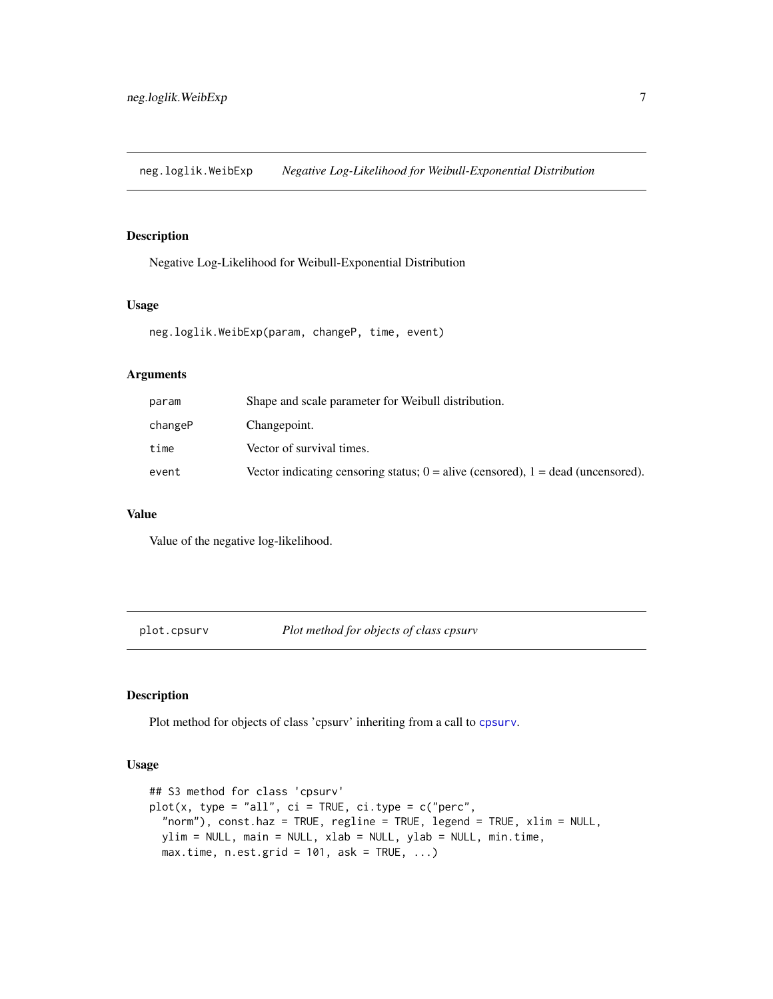<span id="page-6-0"></span>neg.loglik.WeibExp *Negative Log-Likelihood for Weibull-Exponential Distribution*

#### Description

Negative Log-Likelihood for Weibull-Exponential Distribution

#### Usage

neg.loglik.WeibExp(param, changeP, time, event)

#### Arguments

| param   | Shape and scale parameter for Weibull distribution.                                  |
|---------|--------------------------------------------------------------------------------------|
| changeP | Changepoint.                                                                         |
| time    | Vector of survival times.                                                            |
| event   | Vector indicating censoring status; $0 =$ alive (censored), $1 =$ dead (uncensored). |

#### Value

Value of the negative log-likelihood.

plot.cpsurv *Plot method for objects of class cpsurv*

#### Description

Plot method for objects of class 'cpsurv' inheriting from a call to [cpsurv](#page-3-1).

#### Usage

```
## S3 method for class 'cpsurv'
plot(x, type = "all", ci = TRUE, ci_type = c("perc","norm"), const.haz = TRUE, regline = TRUE, legend = TRUE, xlim = NULL,
 ylim = NULL, main = NULL, xlab = NULL, ylab = NULL, min.time,
 max.time, n.est.grid = 101, ask = TRUE, ...)
```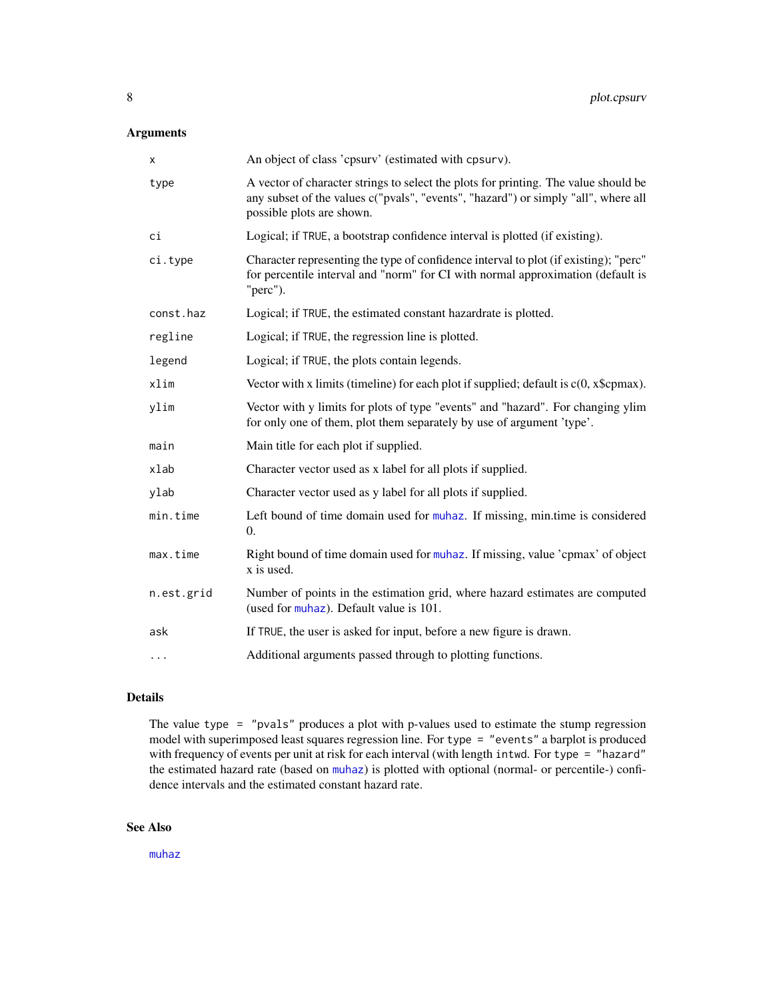### <span id="page-7-0"></span>Arguments

| х          | An object of class 'cpsurv' (estimated with cpsurv).                                                                                                                                                   |
|------------|--------------------------------------------------------------------------------------------------------------------------------------------------------------------------------------------------------|
| type       | A vector of character strings to select the plots for printing. The value should be<br>any subset of the values c("pvals", "events", "hazard") or simply "all", where all<br>possible plots are shown. |
| ci         | Logical; if TRUE, a bootstrap confidence interval is plotted (if existing).                                                                                                                            |
| ci.type    | Character representing the type of confidence interval to plot (if existing); "perc"<br>for percentile interval and "norm" for CI with normal approximation (default is<br>"perc").                    |
| const.haz  | Logical; if TRUE, the estimated constant hazardrate is plotted.                                                                                                                                        |
| regline    | Logical; if TRUE, the regression line is plotted.                                                                                                                                                      |
| legend     | Logical; if TRUE, the plots contain legends.                                                                                                                                                           |
| xlim       | Vector with x limits (timeline) for each plot if supplied; default is $c(0, x \text{Scpmax})$ .                                                                                                        |
| ylim       | Vector with y limits for plots of type "events" and "hazard". For changing ylim<br>for only one of them, plot them separately by use of argument 'type'.                                               |
| main       | Main title for each plot if supplied.                                                                                                                                                                  |
| xlab       | Character vector used as x label for all plots if supplied.                                                                                                                                            |
| ylab       | Character vector used as y label for all plots if supplied.                                                                                                                                            |
| min.time   | Left bound of time domain used for muhaz. If missing, min.time is considered<br>0.                                                                                                                     |
| max.time   | Right bound of time domain used for muhaz. If missing, value 'cpmax' of object<br>x is used.                                                                                                           |
| n.est.grid | Number of points in the estimation grid, where hazard estimates are computed<br>(used for muhaz). Default value is 101.                                                                                |
| ask        | If TRUE, the user is asked for input, before a new figure is drawn.                                                                                                                                    |
| .          | Additional arguments passed through to plotting functions.                                                                                                                                             |

### Details

The value type  $=$  "pvals" produces a plot with p-values used to estimate the stump regression model with superimposed least squares regression line. For type = "events" a barplot is produced with frequency of events per unit at risk for each interval (with length intwd. For type = "hazard" the estimated hazard rate (based on [muhaz](#page-0-0)) is plotted with optional (normal- or percentile-) confidence intervals and the estimated constant hazard rate.

#### See Also

[muhaz](#page-0-0)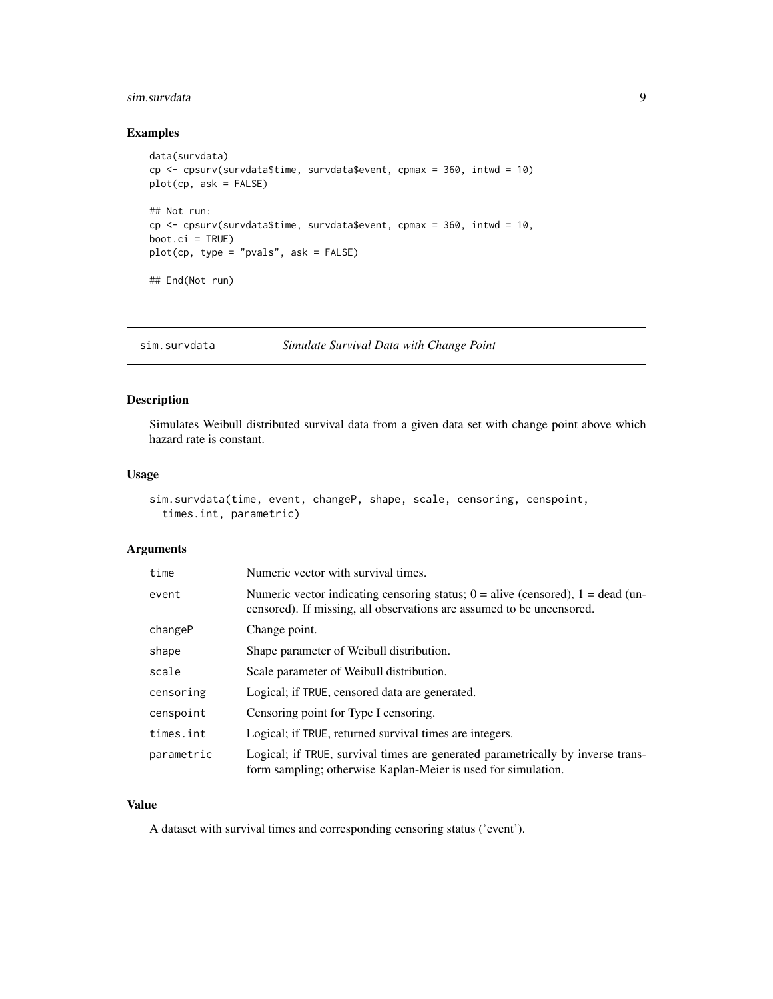#### <span id="page-8-0"></span>sim.survdata 9

#### Examples

```
data(survdata)
cp <- cpsurv(survdata$time, survdata$event, cpmax = 360, intwd = 10)
plot(cp, ask = FALSE)
## Not run:
cp <- cpsurv(survdata$time, survdata$event, cpmax = 360, intwd = 10,
boot.ci = TRUE)
plot(cp, type = "pvals", ask = FALSE)
## End(Not run)
```
sim.survdata *Simulate Survival Data with Change Point*

#### Description

Simulates Weibull distributed survival data from a given data set with change point above which hazard rate is constant.

#### Usage

```
sim.survdata(time, event, changeP, shape, scale, censoring, censpoint,
 times.int, parametric)
```
#### Arguments

| time       | Numeric vector with survival times.                                                                                                                          |
|------------|--------------------------------------------------------------------------------------------------------------------------------------------------------------|
| event      | Numeric vector indicating censoring status; $0 =$ alive (censored), $1 =$ dead (un-<br>censored). If missing, all observations are assumed to be uncensored. |
| changeP    | Change point.                                                                                                                                                |
| shape      | Shape parameter of Weibull distribution.                                                                                                                     |
| scale      | Scale parameter of Weibull distribution.                                                                                                                     |
| censoring  | Logical; if TRUE, censored data are generated.                                                                                                               |
| censpoint  | Censoring point for Type I censoring.                                                                                                                        |
| times.int  | Logical; if TRUE, returned survival times are integers.                                                                                                      |
| parametric | Logical; if TRUE, survival times are generated parametrically by inverse trans-<br>form sampling; otherwise Kaplan-Meier is used for simulation.             |

### Value

A dataset with survival times and corresponding censoring status ('event').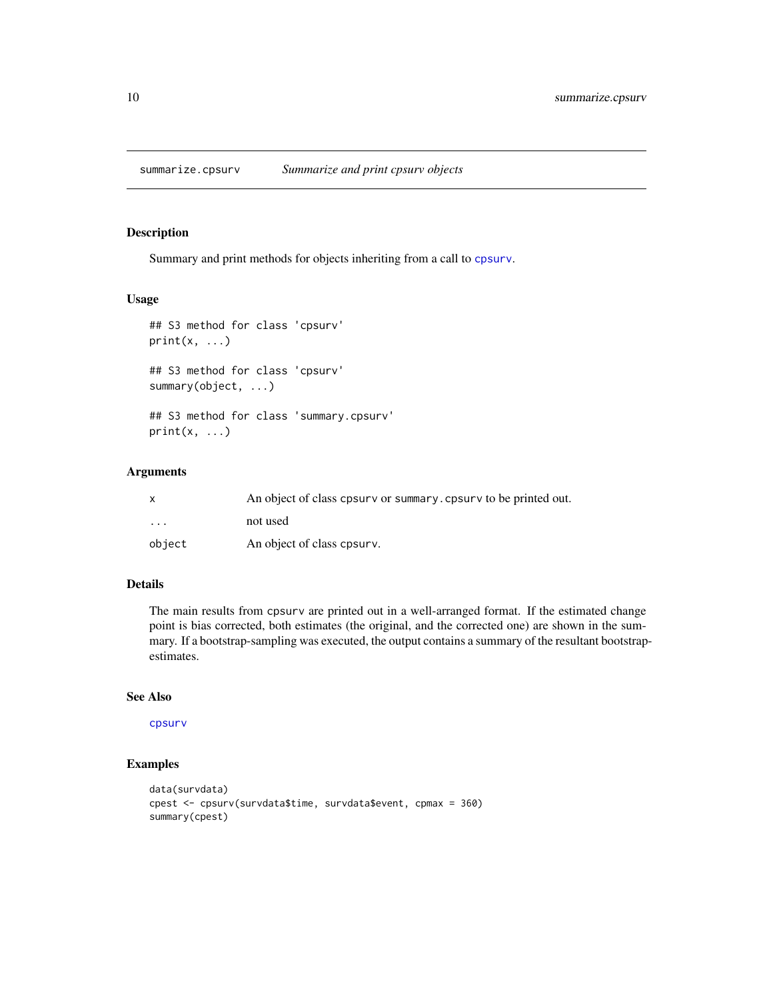<span id="page-9-0"></span>summarize.cpsurv *Summarize and print cpsurv objects*

#### Description

Summary and print methods for objects inheriting from a call to [cpsurv](#page-3-1).

#### Usage

```
## S3 method for class 'cpsurv'
print(x, \ldots)## S3 method for class 'cpsurv'
summary(object, ...)
```
## S3 method for class 'summary.cpsurv'  $print(x, \ldots)$ 

#### Arguments

| $\mathsf{x}$            | An object of class cpsurv or summary, cpsurv to be printed out. |
|-------------------------|-----------------------------------------------------------------|
| $\cdot$ $\cdot$ $\cdot$ | not used                                                        |
| object                  | An object of class cpsurv.                                      |

### Details

The main results from cpsurv are printed out in a well-arranged format. If the estimated change point is bias corrected, both estimates (the original, and the corrected one) are shown in the summary. If a bootstrap-sampling was executed, the output contains a summary of the resultant bootstrapestimates.

#### See Also

#### [cpsurv](#page-3-1)

#### Examples

```
data(survdata)
cpest <- cpsurv(survdata$time, survdata$event, cpmax = 360)
summary(cpest)
```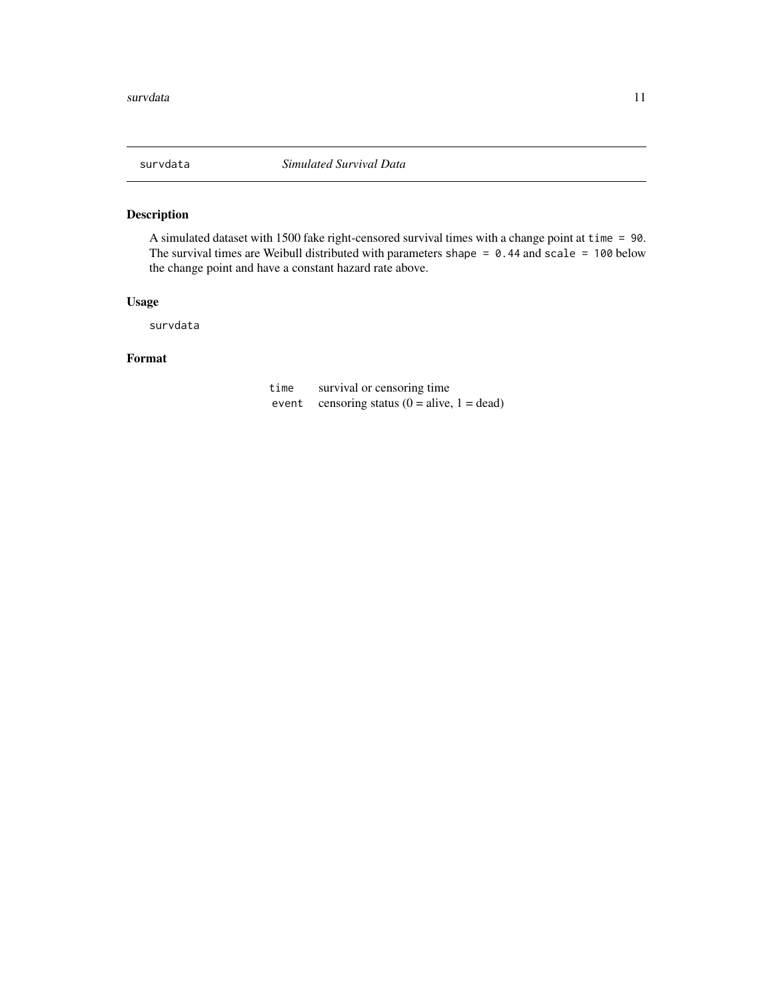<span id="page-10-0"></span>

#### Description

A simulated dataset with 1500 fake right-censored survival times with a change point at time = 90. The survival times are Weibull distributed with parameters shape =  $0.44$  and scale = 100 below the change point and have a constant hazard rate above.

#### Usage

survdata

#### Format

time survival or censoring time event censoring status  $(0 = alive, 1 = dead)$